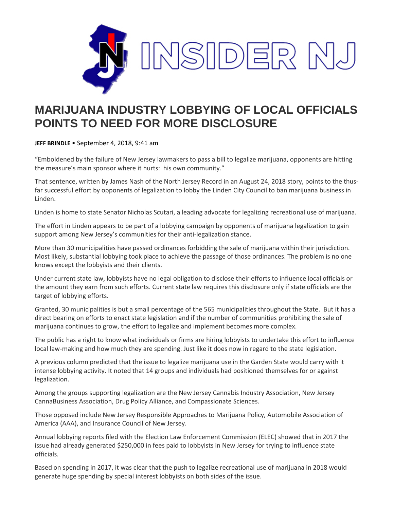

## **MARIJUANA INDUSTRY LOBBYING OF LOCAL OFFICIALS POINTS TO NEED FOR MORE DISCLOSURE**

**JEFF BRINDLE** • September 4, 2018, 9:41 am

"Emboldened by the failure of New Jersey lawmakers to pass a bill to legalize marijuana, opponents are hitting the measure's main sponsor where it hurts: his own community."

That sentence, written by James Nash of the North Jersey Record in an August 24, 2018 story, points to the thusfar successful effort by opponents of legalization to lobby the Linden City Council to ban marijuana business in Linden.

Linden is home to state Senator Nicholas Scutari, a leading advocate for legalizing recreational use of marijuana.

The effort in Linden appears to be part of a lobbying campaign by opponents of marijuana legalization to gain support among New Jersey's communities for their anti-legalization stance.

More than 30 municipalities have passed ordinances forbidding the sale of marijuana within their jurisdiction. Most likely, substantial lobbying took place to achieve the passage of those ordinances. The problem is no one knows except the lobbyists and their clients.

Under current state law, lobbyists have no legal obligation to disclose their efforts to influence local officials or the amount they earn from such efforts. Current state law requires this disclosure only if state officials are the target of lobbying efforts.

Granted, 30 municipalities is but a small percentage of the 565 municipalities throughout the State. But it has a direct bearing on efforts to enact state legislation and if the number of communities prohibiting the sale of marijuana continues to grow, the effort to legalize and implement becomes more complex.

The public has a right to know what individuals or firms are hiring lobbyists to undertake this effort to influence local law-making and how much they are spending. Just like it does now in regard to the state legislation.

A previous column predicted that the issue to legalize marijuana use in the Garden State would carry with it intense lobbying activity. It noted that 14 groups and individuals had positioned themselves for or against legalization.

Among the groups supporting legalization are the New Jersey Cannabis Industry Association, New Jersey CannaBusiness Association, Drug Policy Alliance, and Compassionate Sciences.

Those opposed include New Jersey Responsible Approaches to Marijuana Policy, Automobile Association of America (AAA), and Insurance Council of New Jersey.

Annual lobbying reports filed with the Election Law Enforcement Commission (ELEC) showed that in 2017 the issue had already generated \$250,000 in fees paid to lobbyists in New Jersey for trying to influence state officials.

Based on spending in 2017, it was clear that the push to legalize recreational use of marijuana in 2018 would generate huge spending by special interest lobbyists on both sides of the issue.